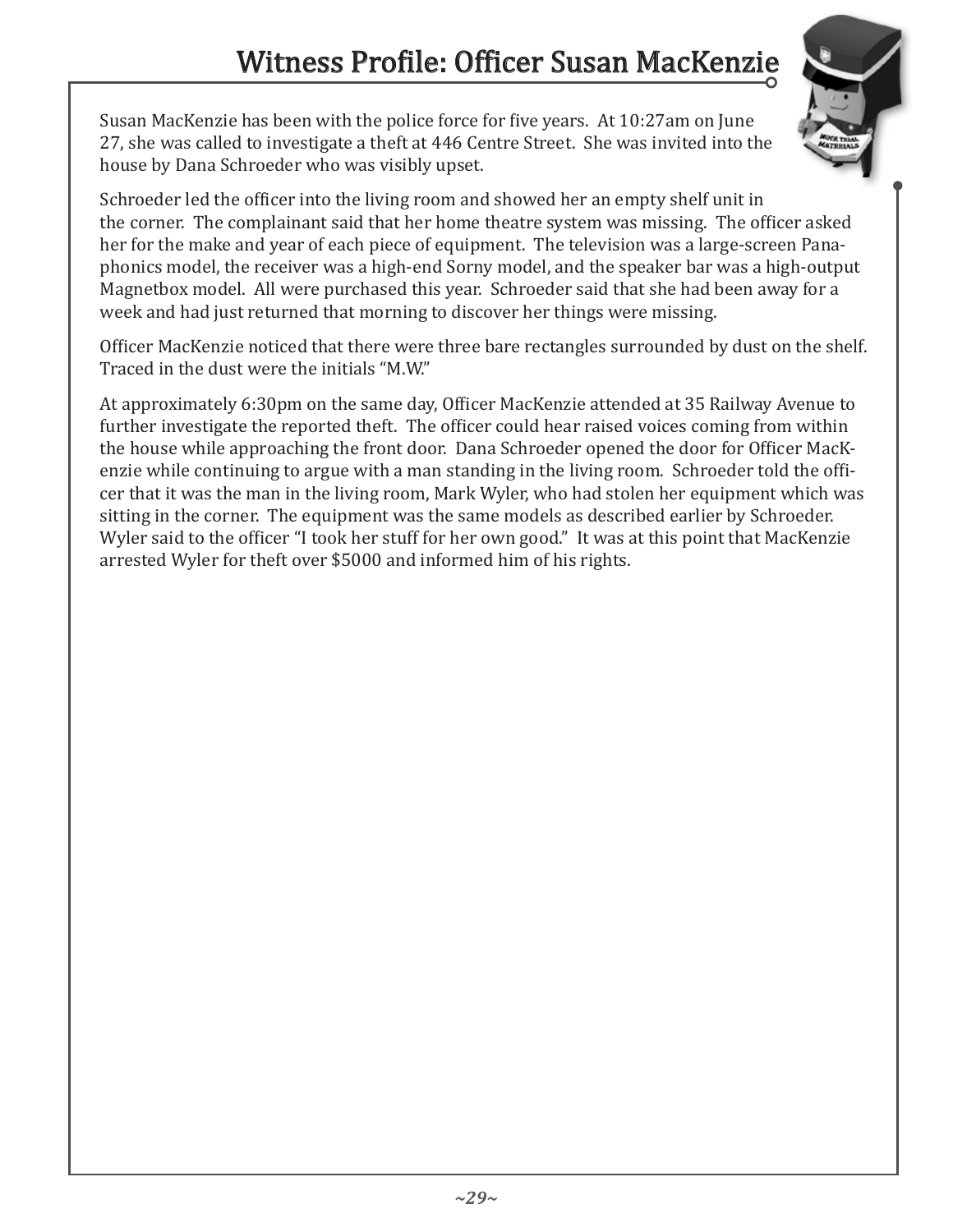Susan MacKenzie has been with the police force for five years. At 10:27am on June 27, she was called to investigate a theft at 446 Centre Street. She was invited into the house by Dana Schroeder who was visibly upset.



Schroeder led the officer into the living room and showed her an empty shelf unit in the corner. The complainant said that her home theatre system was missing. The officer asked her for the make and year of each piece of equipment. The television was a large-screen Panaphonics model, the receiver was a high-end Sorny model, and the speaker bar was a high-output Magnetbox model. All were purchased this year. Schroeder said that she had been away for a week and had just returned that morning to discover her things were missing.

Officer MacKenzie noticed that there were three bare rectangles surrounded by dust on the shelf. Traced in the dust were the initials "M.W."

At approximately 6:30pm on the same day, Officer MacKenzie attended at 35 Railway Avenue to further investigate the reported theft. The officer could hear raised voices coming from within the house while approaching the front door. Dana Schroeder opened the door for Officer MacKenzie while continuing to argue with a man standing in the living room. Schroeder told the officer that it was the man in the living room, Mark Wyler, who had stolen her equipment which was sitting in the corner. The equipment was the same models as described earlier by Schroeder. Wyler said to the officer "I took her stuff for her own good." It was at this point that MacKenzie arrested Wyler for theft over \$5000 and informed him of his rights.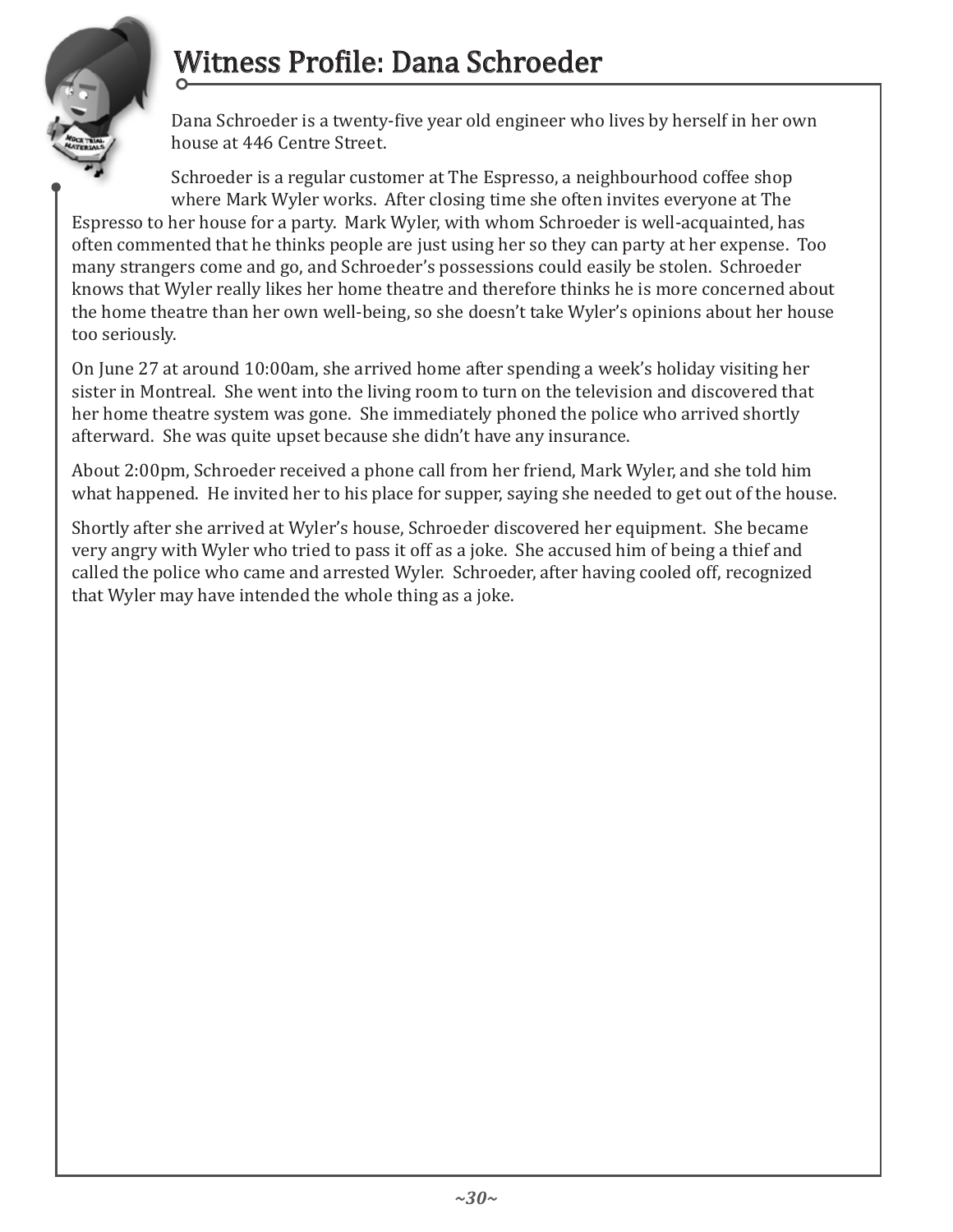## Witness Profile: Dana Schroeder



Dana Schroeder is a twenty-five year old engineer who lives by herself in her own house at 446 Centre Street.

Schroeder is a regular customer at The Espresso, a neighbourhood coffee shop where Mark Wyler works. After closing time she often invites everyone at The

Espresso to her house for a party. Mark Wyler, with whom Schroeder is well-acquainted, has often commented that he thinks people are just using her so they can party at her expense. Too many strangers come and go, and Schroeder's possessions could easily be stolen. Schroeder knows that Wyler really likes her home theatre and therefore thinks he is more concerned about the home theatre than her own well-being, so she doesn't take Wyler's opinions about her house too seriously.

On June 27 at around 10:00am, she arrived home after spending a week's holiday visiting her sister in Montreal. She went into the living room to turn on the television and discovered that her home theatre system was gone. She immediately phoned the police who arrived shortly afterward. She was quite upset because she didn't have any insurance.

About 2:00pm, Schroeder received a phone call from her friend, Mark Wyler, and she told him what happened. He invited her to his place for supper, saying she needed to get out of the house.

Shortly after she arrived at Wyler's house, Schroeder discovered her equipment. She became very angry with Wyler who tried to pass it off as a joke. She accused him of being a thief and called the police who came and arrested Wyler. Schroeder, after having cooled off, recognized that Wyler may have intended the whole thing as a joke.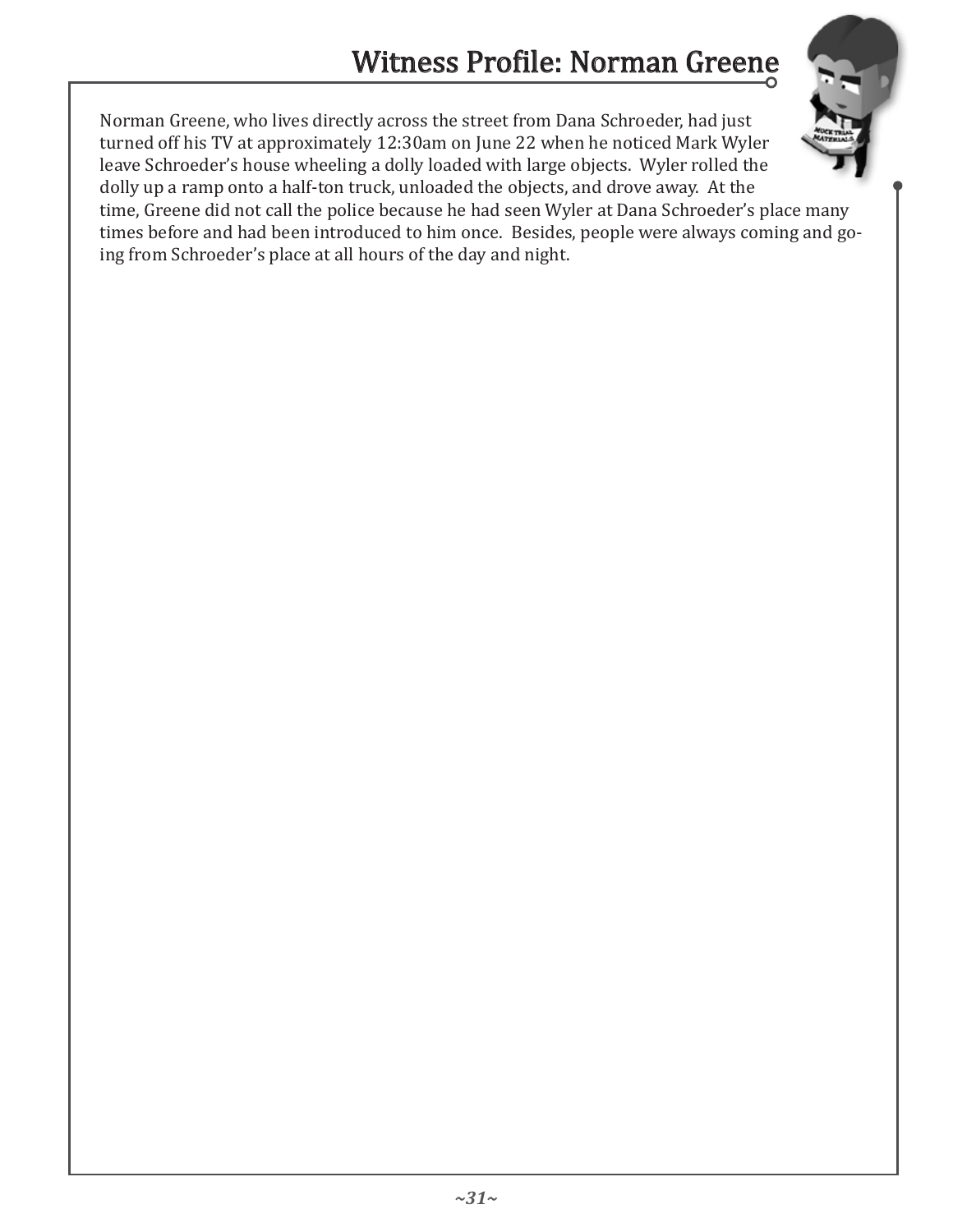

Norman Greene, who lives directly across the street from Dana Schroeder, had just turned off his TV at approximately 12:30am on June 22 when he noticed Mark Wyler leave Schroeder's house wheeling a dolly loaded with large objects. Wyler rolled the dolly up a ramp onto a half-ton truck, unloaded the objects, and drove away. At the time, Greene did not call the police because he had seen Wyler at Dana Schroeder's place many times before and had been introduced to him once. Besides, people were always coming and going from Schroeder's place at all hours of the day and night.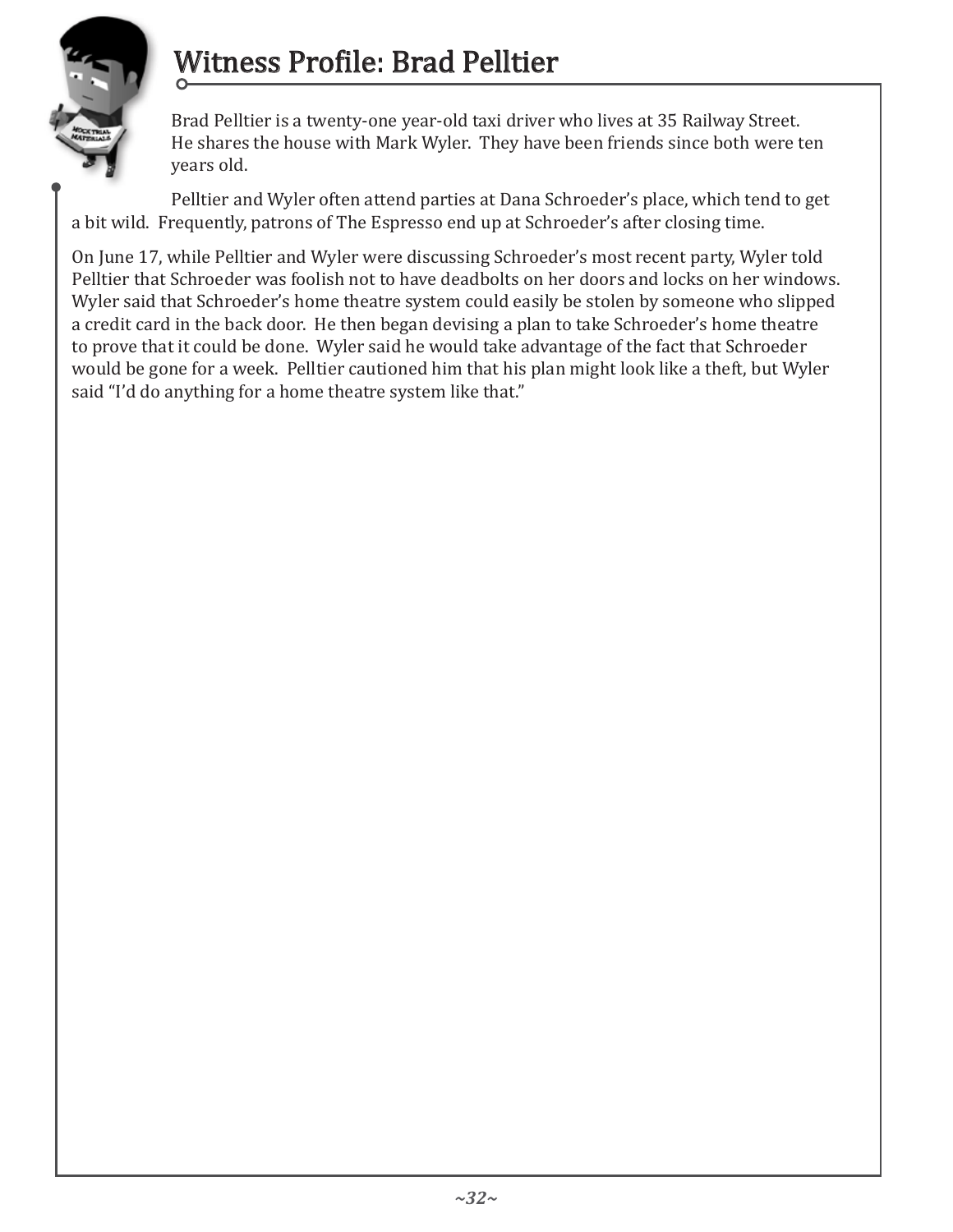

## Witness Profile: Brad Pelltier

Brad Pelltier is a twenty-one year-old taxi driver who lives at 35 Railway Street. He shares the house with Mark Wyler. They have been friends since both were ten years old.

Pelltier and Wyler often attend parties at Dana Schroeder's place, which tend to get a bit wild. Frequently, patrons of The Espresso end up at Schroeder's after closing time.

On June 17, while Pelltier and Wyler were discussing Schroeder's most recent party, Wyler told Pelltier that Schroeder was foolish not to have deadbolts on her doors and locks on her windows. Wyler said that Schroeder's home theatre system could easily be stolen by someone who slipped a credit card in the back door. He then began devising a plan to take Schroeder's home theatre to prove that it could be done. Wyler said he would take advantage of the fact that Schroeder would be gone for a week. Pelltier cautioned him that his plan might look like a theft, but Wyler said "I'd do anything for a home theatre system like that."